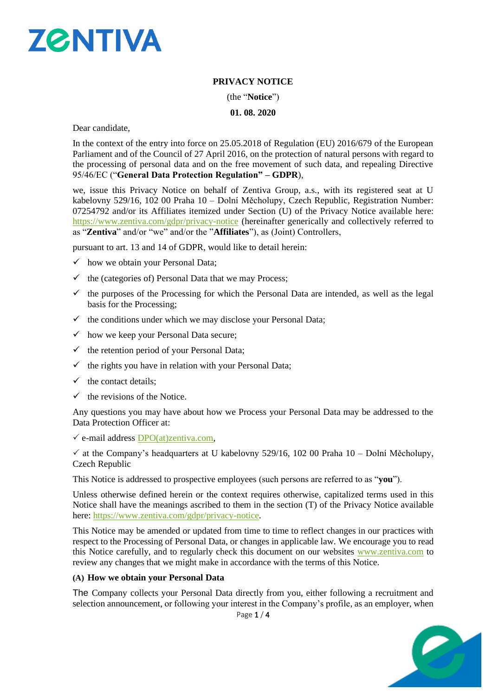

# **PRIVACY NOTICE**

(the "**Notice**")

**01. 08. 2020**

Dear candidate,

In the context of the entry into force on 25.05.2018 of Regulation (EU) 2016/679 of the European Parliament and of the Council of 27 April 2016, on the protection of natural persons with regard to the processing of personal data and on the free movement of such data, and repealing Directive 95/46/EC ("**General Data Protection Regulation" – GDPR**),

we, issue this Privacy Notice on behalf of Zentiva Group, a.s., with its registered seat at U kabelovny 529/16, 102 00 Praha 10 – Dolní Měcholupy, Czech Republic, Registration Number: 07254792 and/or its Affiliates itemized under Section (U) of the Privacy Notice available here: <https://www.zentiva.com/gdpr/privacy-notice> (hereinafter generically and collectively referred to as "**Zentiva**" and/or "we" and/or the "**Affiliates**"), as (Joint) Controllers,

pursuant to art. 13 and 14 of GDPR, would like to detail herein:

- $\checkmark$  how we obtain your Personal Data;
- $\checkmark$  the (categories of) Personal Data that we may Process;
- $\checkmark$  the purposes of the Processing for which the Personal Data are intended, as well as the legal basis for the Processing;
- $\checkmark$  the conditions under which we may disclose your Personal Data;
- $\checkmark$  how we keep your Personal Data secure;
- $\checkmark$  the retention period of your Personal Data;
- $\checkmark$  the rights you have in relation with your Personal Data;
- $\checkmark$  the contact details:
- $\checkmark$  the revisions of the Notice.

Any questions you may have about how we Process your Personal Data may be addressed to the Data Protection Officer at:

 $\checkmark$  e-mail address [DPO\(at\)zentiva.com,](mailto:DPO@alvogen.com)

 $\checkmark$  at the Company's headquarters at U kabelovny 529/16, 102 00 Praha 10 – Dolní Měcholupy, Czech Republic

This Notice is addressed to prospective employees (such persons are referred to as "**you**").

Unless otherwise defined herein or the context requires otherwise, capitalized terms used in this Notice shall have the meanings ascribed to them in the section (T) of the Privacy Notice available here: [https://www.zentiva.com/gdpr/privacy-notice.](https://www.zentiva.com/gdpr/privacy-notice)

This Notice may be amended or updated from time to time to reflect changes in our practices with respect to the Processing of Personal Data, or changes in applicable law. We encourage you to read this Notice carefully, and to regularly check this document on our websites [www.zentiva.com](http://www.zentiva.com/) to review any changes that we might make in accordance with the terms of this Notice.

#### **(A) How we obtain your Personal Data**

The Company collects your Personal Data directly from you, either following a recruitment and selection announcement, or following your interest in the Company's profile, as an employer, when

Page 1 / 4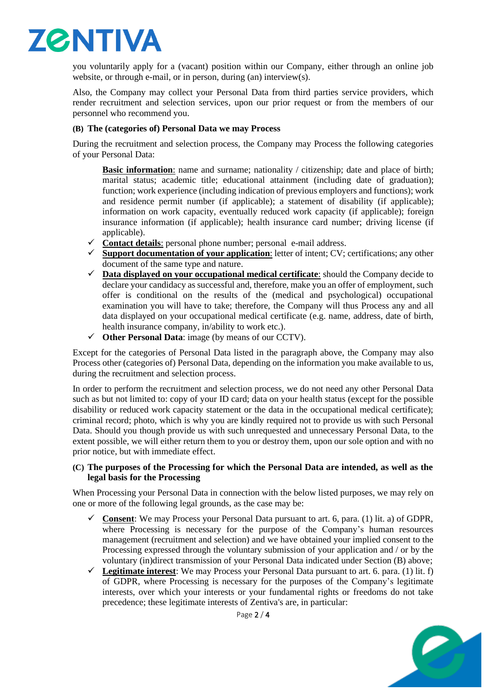

you voluntarily apply for a (vacant) position within our Company, either through an online job website, or through e-mail, or in person, during (an) interview(s).

Also, the Company may collect your Personal Data from third parties service providers, which render recruitment and selection services, upon our prior request or from the members of our personnel who recommend you.

#### **(B) The (categories of) Personal Data we may Process**

During the recruitment and selection process, the Company may Process the following categories of your Personal Data:

**Basic information**: name and surname; nationality / citizenship; date and place of birth; marital status; academic title; educational attainment (including date of graduation); function; work experience (including indication of previous employers and functions); work and residence permit number (if applicable); a statement of disability (if applicable); information on work capacity, eventually reduced work capacity (if applicable); foreign insurance information (if applicable); health insurance card number; driving license (if applicable).

- ✓ **Contact details**: personal phone number; personal e-mail address.
- ✓ **Support documentation of your application**: letter of intent; CV; certifications; any other document of the same type and nature.
- ✓ **Data displayed on your occupational medical certificate**: should the Company decide to declare your candidacy as successful and, therefore, make you an offer of employment, such offer is conditional on the results of the (medical and psychological) occupational examination you will have to take; therefore, the Company will thus Process any and all data displayed on your occupational medical certificate (e.g. name, address, date of birth, health insurance company, in/ability to work etc.).
- ✓ **Other Personal Data**: image (by means of our CCTV).

Except for the categories of Personal Data listed in the paragraph above, the Company may also Process other (categories of) Personal Data, depending on the information you make available to us, during the recruitment and selection process.

In order to perform the recruitment and selection process, we do not need any other Personal Data such as but not limited to: copy of your ID card; data on your health status (except for the possible disability or reduced work capacity statement or the data in the occupational medical certificate); criminal record; photo, which is why you are kindly required not to provide us with such Personal Data. Should you though provide us with such unrequested and unnecessary Personal Data, to the extent possible, we will either return them to you or destroy them, upon our sole option and with no prior notice, but with immediate effect.

### **(C) The purposes of the Processing for which the Personal Data are intended, as well as the legal basis for the Processing**

When Processing your Personal Data in connection with the below listed purposes, we may rely on one or more of the following legal grounds, as the case may be:

- ✓ **Consent**: We may Process your Personal Data pursuant to art. 6, para. (1) lit. a) of GDPR, where Processing is necessary for the purpose of the Company's human resources management (recruitment and selection) and we have obtained your implied consent to the Processing expressed through the voluntary submission of your application and / or by the voluntary (in)direct transmission of your Personal Data indicated under Section (B) above;
- ✓ **Legitimate interest**: We may Process your Personal Data pursuant to art. 6. para. (1) lit. f) of GDPR, where Processing is necessary for the purposes of the Company's legitimate interests, over which your interests or your fundamental rights or freedoms do not take precedence; these legitimate interests of Zentiva's are, in particular:

2

Page 2 / 4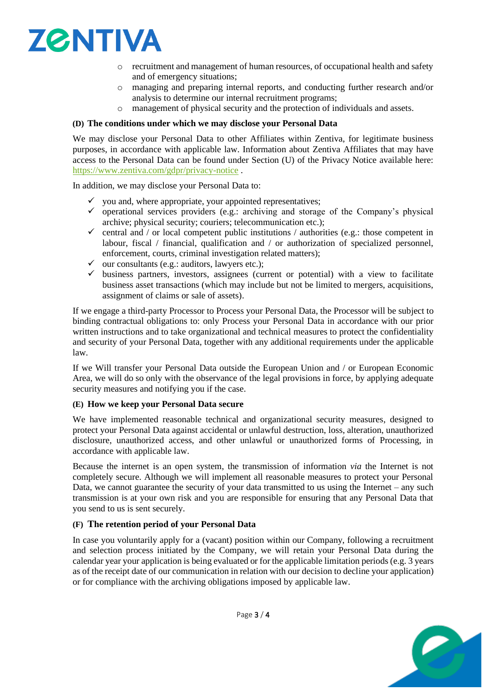

- recruitment and management of human resources, of occupational health and safety and of emergency situations;
- o managing and preparing internal reports, and conducting further research and/or analysis to determine our internal recruitment programs;
- o management of physical security and the protection of individuals and assets.

#### **(D) The conditions under which we may disclose your Personal Data**

We may disclose your Personal Data to other Affiliates within Zentiva, for legitimate business purposes, in accordance with applicable law. Information about Zentiva Affiliates that may have access to the Personal Data can be found under Section (U) of the Privacy Notice available here: <https://www.zentiva.com/gdpr/privacy-notice> .

In addition, we may disclose your Personal Data to:

- $\checkmark$  you and, where appropriate, your appointed representatives;
- $\checkmark$  operational services providers (e.g.: archiving and storage of the Company's physical archive; physical security; couriers; telecommunication etc.);
- $\checkmark$  central and / or local competent public institutions / authorities (e.g.: those competent in labour, fiscal / financial, qualification and / or authorization of specialized personnel, enforcement, courts, criminal investigation related matters);
- $\checkmark$  our consultants (e.g.: auditors, lawyers etc.);
- $\checkmark$  business partners, investors, assignees (current or potential) with a view to facilitate business asset transactions (which may include but not be limited to mergers, acquisitions, assignment of claims or sale of assets).

If we engage a third-party Processor to Process your Personal Data, the Processor will be subject to binding contractual obligations to: only Process your Personal Data in accordance with our prior written instructions and to take organizational and technical measures to protect the confidentiality and security of your Personal Data, together with any additional requirements under the applicable law.

If we Will transfer your Personal Data outside the European Union and / or European Economic Area, we will do so only with the observance of the legal provisions in force, by applying adequate security measures and notifying you if the case.

#### **(E) How we keep your Personal Data secure**

We have implemented reasonable technical and organizational security measures, designed to protect your Personal Data against accidental or unlawful destruction, loss, alteration, unauthorized disclosure, unauthorized access, and other unlawful or unauthorized forms of Processing, in accordance with applicable law.

Because the internet is an open system, the transmission of information *via* the Internet is not completely secure. Although we will implement all reasonable measures to protect your Personal Data, we cannot guarantee the security of your data transmitted to us using the Internet – any such transmission is at your own risk and you are responsible for ensuring that any Personal Data that you send to us is sent securely.

#### **(F) The retention period of your Personal Data**

In case you voluntarily apply for a (vacant) position within our Company, following a recruitment and selection process initiated by the Company, we will retain your Personal Data during the calendar year your application is being evaluated or for the applicable limitation periods (e.g. 3 years as of the receipt date of our communication in relation with our decision to decline your application) or for compliance with the archiving obligations imposed by applicable law.



Page 3 / 4